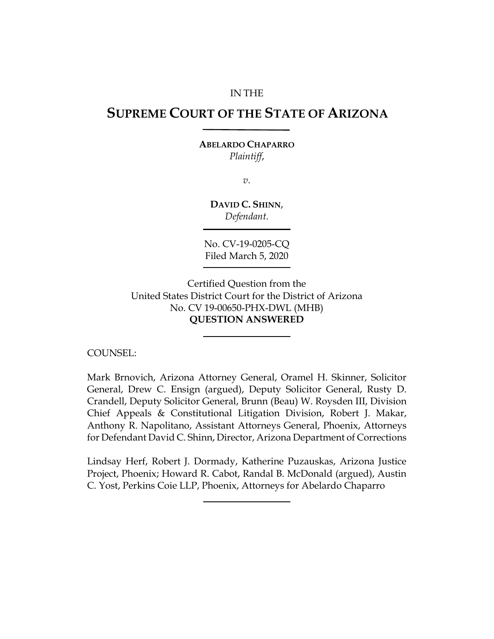#### IN THE

# **SUPREME COURT OF THE STATE OF ARIZONA**

#### **ABELARDO CHAPARRO** *Plaintiff*,

*v*.

**DAVID C. SHINN**, *Defendant*.

No. CV-19-0205-CQ Filed March 5, 2020

Certified Question from the United States District Court for the District of Arizona No. CV 19-00650-PHX-DWL (MHB) **QUESTION ANSWERED**

COUNSEL:

Mark Brnovich, Arizona Attorney General, Oramel H. Skinner, Solicitor General, Drew C. Ensign (argued), Deputy Solicitor General, Rusty D. Crandell, Deputy Solicitor General, Brunn (Beau) W. Roysden III, Division Chief Appeals & Constitutional Litigation Division, Robert J. Makar, Anthony R. Napolitano, Assistant Attorneys General, Phoenix, Attorneys for Defendant David C. Shinn, Director, Arizona Department of Corrections

Lindsay Herf, Robert J. Dormady, Katherine Puzauskas, Arizona Justice Project, Phoenix; Howard R. Cabot, Randal B. McDonald (argued), Austin C. Yost, Perkins Coie LLP, Phoenix, Attorneys for Abelardo Chaparro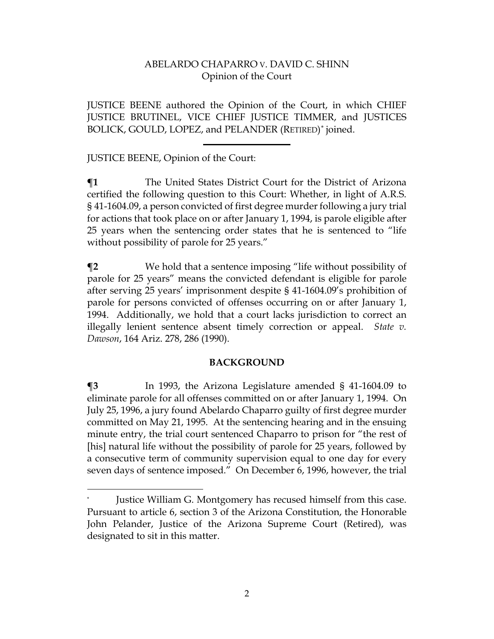JUSTICE BEENE authored the Opinion of the Court, in which CHIEF JUSTICE BRUTINEL, VICE CHIEF JUSTICE TIMMER, and JUSTICES BOLICK, GOULD, LOPEZ, and PELANDER (RETIRED)[\\*](#page-1-0) joined.

## JUSTICE BEENE, Opinion of the Court:

 $\overline{\phantom{a}}$ 

**¶1** The United States District Court for the District of Arizona certified the following question to this Court: Whether, in light of A.R.S. § 41-1604.09, a person convicted of first degree murder following a jury trial for actions that took place on or after January 1, 1994, is parole eligible after 25 years when the sentencing order states that he is sentenced to "life without possibility of parole for 25 years."

**¶2** We hold that a sentence imposing "life without possibility of parole for 25 years" means the convicted defendant is eligible for parole after serving 25 years' imprisonment despite § 41-1604.09's prohibition of parole for persons convicted of offenses occurring on or after January 1, 1994. Additionally, we hold that a court lacks jurisdiction to correct an illegally lenient sentence absent timely correction or appeal. *State v. Dawson*, 164 Ariz. 278, 286 (1990).

### **BACKGROUND**

**¶3** In 1993, the Arizona Legislature amended § 41-1604.09 to eliminate parole for all offenses committed on or after January 1, 1994. On July 25, 1996, a jury found Abelardo Chaparro guilty of first degree murder committed on May 21, 1995. At the sentencing hearing and in the ensuing minute entry, the trial court sentenced Chaparro to prison for "the rest of [his] natural life without the possibility of parole for 25 years, followed by a consecutive term of community supervision equal to one day for every seven days of sentence imposed." On December 6, 1996, however, the trial

<span id="page-1-0"></span>Justice William G. Montgomery has recused himself from this case. Pursuant to article 6, section 3 of the Arizona Constitution, the Honorable John Pelander, Justice of the Arizona Supreme Court (Retired), was designated to sit in this matter.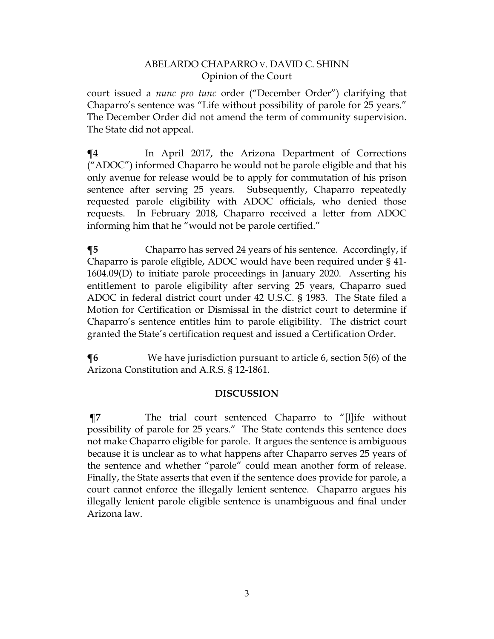court issued a *nunc pro tunc* order ("December Order") clarifying that Chaparro's sentence was "Life without possibility of parole for 25 years." The December Order did not amend the term of community supervision. The State did not appeal.

**¶4** In April 2017, the Arizona Department of Corrections ("ADOC") informed Chaparro he would not be parole eligible and that his only avenue for release would be to apply for commutation of his prison sentence after serving 25 years. Subsequently, Chaparro repeatedly requested parole eligibility with ADOC officials, who denied those requests. In February 2018, Chaparro received a letter from ADOC informing him that he "would not be parole certified."

**¶5** Chaparro has served 24 years of his sentence. Accordingly, if Chaparro is parole eligible, ADOC would have been required under § 41- 1604.09(D) to initiate parole proceedings in January 2020. Asserting his entitlement to parole eligibility after serving 25 years, Chaparro sued ADOC in federal district court under 42 U.S.C. § 1983. The State filed a Motion for Certification or Dismissal in the district court to determine if Chaparro's sentence entitles him to parole eligibility. The district court granted the State's certification request and issued a Certification Order.

**¶6** We have jurisdiction pursuant to article 6, section 5(6) of the Arizona Constitution and A.R.S. § 12-1861.

# **DISCUSSION**

**¶7** The trial court sentenced Chaparro to "[l]ife without possibility of parole for 25 years." The State contends this sentence does not make Chaparro eligible for parole. It argues the sentence is ambiguous because it is unclear as to what happens after Chaparro serves 25 years of the sentence and whether "parole" could mean another form of release. Finally, the State asserts that even if the sentence does provide for parole, a court cannot enforce the illegally lenient sentence. Chaparro argues his illegally lenient parole eligible sentence is unambiguous and final under Arizona law.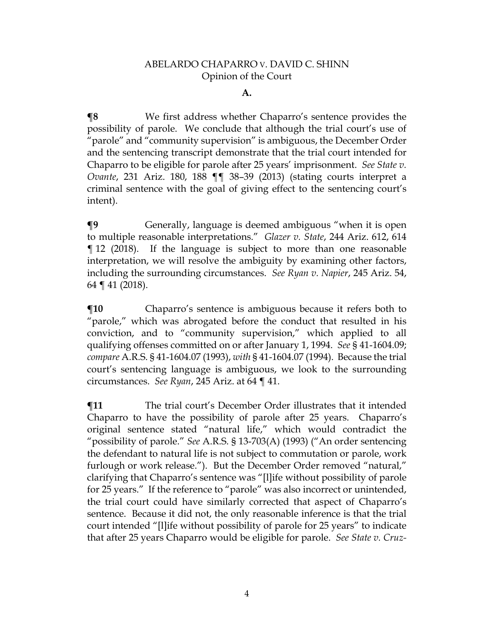#### **A.**

**¶8** We first address whether Chaparro's sentence provides the possibility of parole. We conclude that although the trial court's use of "parole" and "community supervision" is ambiguous, the December Order and the sentencing transcript demonstrate that the trial court intended for Chaparro to be eligible for parole after 25 years' imprisonment. *See State v. Ovante*, 231 Ariz. 180, 188 ¶¶ 38–39 (2013) (stating courts interpret a criminal sentence with the goal of giving effect to the sentencing court's intent).

**¶9** Generally, language is deemed ambiguous "when it is open to multiple reasonable interpretations." *Glazer v. State*, 244 Ariz. 612, 614 ¶ 12 (2018). If the language is subject to more than one reasonable interpretation, we will resolve the ambiguity by examining other factors, including the surrounding circumstances. *See Ryan v. Napier*, 245 Ariz. 54, 64 ¶ 41 (2018).

**The Term** Chaparro's sentence is ambiguous because it refers both to "parole," which was abrogated before the conduct that resulted in his conviction, and to "community supervision," which applied to all qualifying offenses committed on or after January 1, 1994. *See* § 41-1604.09; *compare* A.R.S. § 41-1604.07 (1993), *with* § 41-1604.07 (1994). Because the trial court's sentencing language is ambiguous, we look to the surrounding circumstances. *See Ryan*, 245 Ariz. at 64 ¶ 41.

**¶11** The trial court's December Order illustrates that it intended Chaparro to have the possibility of parole after 25 years. Chaparro's original sentence stated "natural life," which would contradict the "possibility of parole." *See* A.R.S. § 13-703(A) (1993) ("An order sentencing the defendant to natural life is not subject to commutation or parole, work furlough or work release."). But the December Order removed "natural," clarifying that Chaparro's sentence was "[l]ife without possibility of parole for 25 years."If the reference to "parole" was also incorrect or unintended, the trial court could have similarly corrected that aspect of Chaparro's sentence. Because it did not, the only reasonable inference is that the trial court intended "[l]ife without possibility of parole for 25 years" to indicate that after 25 years Chaparro would be eligible for parole. *See State v. Cruz-*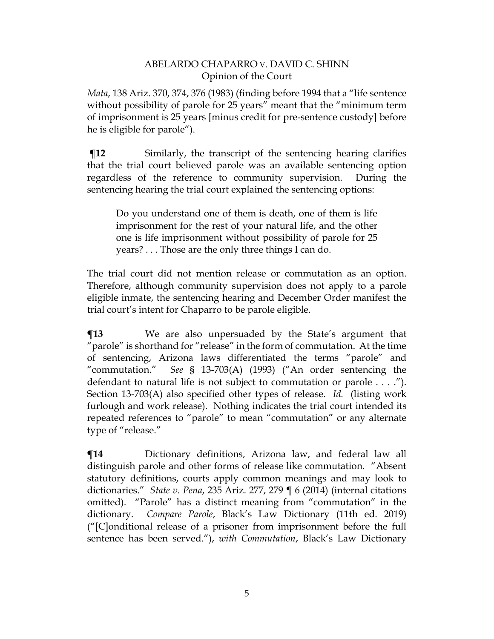*Mata*, 138 Ariz. 370, 374, 376 (1983) (finding before 1994 that a "life sentence without possibility of parole for 25 years" meant that the "minimum term of imprisonment is 25 years [minus credit for pre-sentence custody] before he is eligible for parole").

**The Similarly, the transcript of the sentencing hearing clarifies** that the trial court believed parole was an available sentencing option regardless of the reference to community supervision. During the sentencing hearing the trial court explained the sentencing options:

Do you understand one of them is death, one of them is life imprisonment for the rest of your natural life, and the other one is life imprisonment without possibility of parole for 25 years? . . . Those are the only three things I can do.

The trial court did not mention release or commutation as an option. Therefore, although community supervision does not apply to a parole eligible inmate, the sentencing hearing and December Order manifest the trial court's intent for Chaparro to be parole eligible.

**¶13** We are also unpersuaded by the State's argument that "parole" is shorthand for "release" in the form of commutation. At the time of sentencing, Arizona laws differentiated the terms "parole" and "commutation." *See* § 13-703(A) (1993) ("An order sentencing the defendant to natural life is not subject to commutation or parole . . . ."). Section 13-703(A) also specified other types of release. *Id.* (listing work furlough and work release). Nothing indicates the trial court intended its repeated references to "parole" to mean "commutation" or any alternate type of "release."

**¶14** Dictionary definitions, Arizona law, and federal law all distinguish parole and other forms of release like commutation. "Absent statutory definitions, courts apply common meanings and may look to dictionaries." *State v. Pena*, 235 Ariz. 277, 279 ¶ 6 (2014) (internal citations omitted). "Parole" has a distinct meaning from "commutation" in the dictionary. *Compare Parole*, Black's Law Dictionary (11th ed. 2019) ("[C]onditional release of a prisoner from imprisonment before the full sentence has been served."), *with Commutation*, Black's Law Dictionary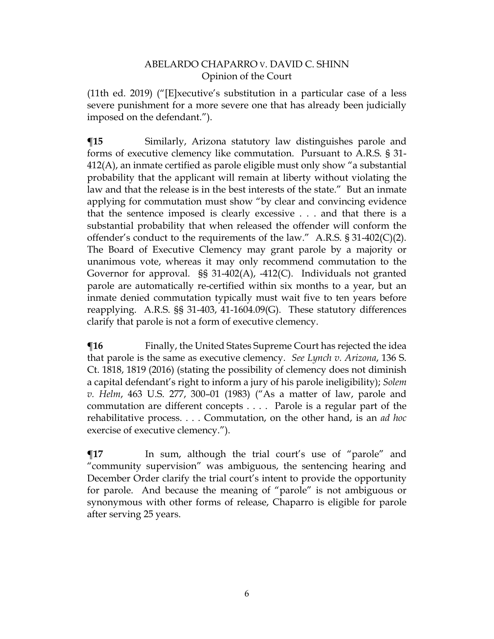(11th ed. 2019) ("[E]xecutive's substitution in a particular case of a less severe punishment for a more severe one that has already been judicially imposed on the defendant.").

**¶15** Similarly, Arizona statutory law distinguishes parole and forms of executive clemency like commutation. Pursuant to A.R.S. § 31- 412(A), an inmate certified as parole eligible must only show "a substantial probability that the applicant will remain at liberty without violating the law and that the release is in the best interests of the state." But an inmate applying for commutation must show "by clear and convincing evidence that the sentence imposed is clearly excessive . . . and that there is a substantial probability that when released the offender will conform the offender's conduct to the requirements of the law." A.R.S.  $\S 31-402(C)(2)$ . The Board of Executive Clemency may grant parole by a majority or unanimous vote, whereas it may only recommend commutation to the Governor for approval. §§ 31-402(A), -412(C). Individuals not granted parole are automatically re-certified within six months to a year, but an inmate denied commutation typically must wait five to ten years before reapplying. A.R.S. §§ 31-403, 41-1604.09(G). These statutory differences clarify that parole is not a form of executive clemency.

**¶16** Finally, the United States Supreme Court has rejected the idea that parole is the same as executive clemency. *See Lynch v. Arizona*, 136 S. Ct. 1818, 1819 (2016) (stating the possibility of clemency does not diminish a capital defendant's right to inform a jury of his parole ineligibility); *Solem v. Helm*, 463 U.S. 277, 300–01 (1983) ("As a matter of law, parole and commutation are different concepts . . . . Parole is a regular part of the rehabilitative process. . . . Commutation, on the other hand, is an *ad hoc* exercise of executive clemency.").

 $\P$ **17** In sum, although the trial court's use of "parole" and "community supervision" was ambiguous, the sentencing hearing and December Order clarify the trial court's intent to provide the opportunity for parole. And because the meaning of "parole" is not ambiguous or synonymous with other forms of release, Chaparro is eligible for parole after serving 25 years.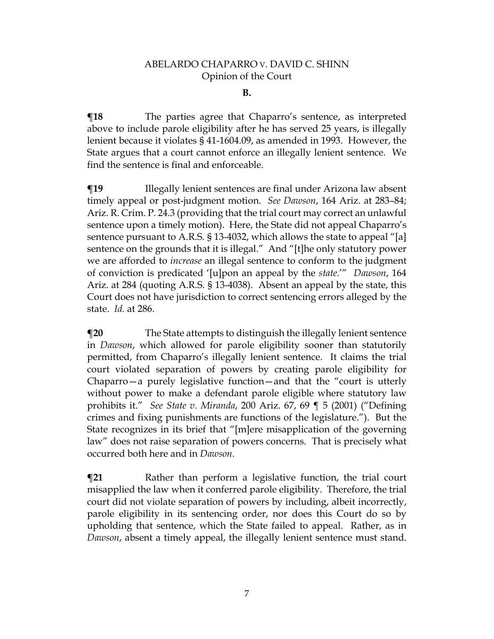#### **B.**

**¶18** The parties agree that Chaparro's sentence, as interpreted above to include parole eligibility after he has served 25 years, is illegally lenient because it violates § 41-1604.09, as amended in 1993. However, the State argues that a court cannot enforce an illegally lenient sentence. We find the sentence is final and enforceable.

**The Illegally lenient sentences are final under Arizona law absent** timely appeal or post-judgment motion. *See Dawson*, 164 Ariz. at 283–84; Ariz. R. Crim. P. 24.3 (providing that the trial court may correct an unlawful sentence upon a timely motion). Here, the State did not appeal Chaparro's sentence pursuant to A.R.S. § 13-4032, which allows the state to appeal "[a] sentence on the grounds that it is illegal." And "[t]he only statutory power we are afforded to *increase* an illegal sentence to conform to the judgment of conviction is predicated '[u]pon an appeal by the *state*.'" *Dawson*, 164 Ariz. at 284 (quoting A.R.S. § 13-4038). Absent an appeal by the state, this Court does not have jurisdiction to correct sentencing errors alleged by the state. *Id.* at 286.

**¶20** The State attempts to distinguish the illegally lenient sentence in *Dawson*, which allowed for parole eligibility sooner than statutorily permitted, from Chaparro's illegally lenient sentence. It claims the trial court violated separation of powers by creating parole eligibility for Chaparro—a purely legislative function—and that the "court is utterly without power to make a defendant parole eligible where statutory law prohibits it." *See State v. Miranda*, 200 Ariz. 67, 69 ¶ 5 (2001) ("Defining crimes and fixing punishments are functions of the legislature."). But the State recognizes in its brief that "[m]ere misapplication of the governing law" does not raise separation of powers concerns. That is precisely what occurred both here and in *Dawson*.

**The Term** Rather than perform a legislative function, the trial court misapplied the law when it conferred parole eligibility. Therefore, the trial court did not violate separation of powers by including, albeit incorrectly, parole eligibility in its sentencing order, nor does this Court do so by upholding that sentence, which the State failed to appeal. Rather, as in *Dawson*, absent a timely appeal, the illegally lenient sentence must stand.